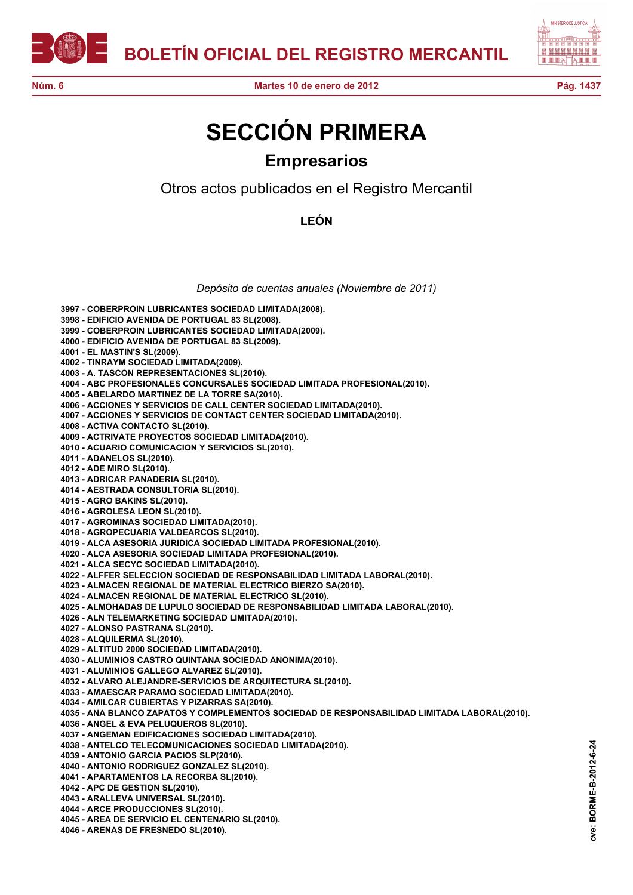



## **SECCIÓN PRIMERA Empresarios**

Otros actos publicados en el Registro Mercantil

**LEÓN**

*Depósito de cuentas anuales (Noviembre de 2011)*

**3997 - COBERPROIN LUBRICANTES SOCIEDAD LIMITADA(2008). 3998 - EDIFICIO AVENIDA DE PORTUGAL 83 SL(2008). 3999 - COBERPROIN LUBRICANTES SOCIEDAD LIMITADA(2009). 4000 - EDIFICIO AVENIDA DE PORTUGAL 83 SL(2009). 4001 - EL MASTIN'S SL(2009). 4002 - TINRAYM SOCIEDAD LIMITADA(2009). 4003 - A. TASCON REPRESENTACIONES SL(2010). 4004 - ABC PROFESIONALES CONCURSALES SOCIEDAD LIMITADA PROFESIONAL(2010). 4005 - ABELARDO MARTINEZ DE LA TORRE SA(2010). 4006 - ACCIONES Y SERVICIOS DE CALL CENTER SOCIEDAD LIMITADA(2010). 4007 - ACCIONES Y SERVICIOS DE CONTACT CENTER SOCIEDAD LIMITADA(2010). 4008 - ACTIVA CONTACTO SL(2010). 4009 - ACTRIVATE PROYECTOS SOCIEDAD LIMITADA(2010). 4010 - ACUARIO COMUNICACION Y SERVICIOS SL(2010). 4011 - ADANELOS SL(2010). 4012 - ADE MIRO SL(2010). 4013 - ADRICAR PANADERIA SL(2010). 4014 - AESTRADA CONSULTORIA SL(2010). 4015 - AGRO BAKINS SL(2010). 4016 - AGROLESA LEON SL(2010). 4017 - AGROMINAS SOCIEDAD LIMITADA(2010). 4018 - AGROPECUARIA VALDEARCOS SL(2010). 4019 - ALCA ASESORIA JURIDICA SOCIEDAD LIMITADA PROFESIONAL(2010). 4020 - ALCA ASESORIA SOCIEDAD LIMITADA PROFESIONAL(2010). 4021 - ALCA SECYC SOCIEDAD LIMITADA(2010). 4022 - ALFFER SELECCION SOCIEDAD DE RESPONSABILIDAD LIMITADA LABORAL(2010). 4023 - ALMACEN REGIONAL DE MATERIAL ELECTRICO BIERZO SA(2010). 4024 - ALMACEN REGIONAL DE MATERIAL ELECTRICO SL(2010). 4025 - ALMOHADAS DE LUPULO SOCIEDAD DE RESPONSABILIDAD LIMITADA LABORAL(2010). 4026 - ALN TELEMARKETING SOCIEDAD LIMITADA(2010). 4027 - ALONSO PASTRANA SL(2010). 4028 - ALQUILERMA SL(2010). 4029 - ALTITUD 2000 SOCIEDAD LIMITADA(2010). 4030 - ALUMINIOS CASTRO QUINTANA SOCIEDAD ANONIMA(2010). 4031 - ALUMINIOS GALLEGO ALVAREZ SL(2010). 4032 - ALVARO ALEJANDRE-SERVICIOS DE ARQUITECTURA SL(2010). 4033 - AMAESCAR PARAMO SOCIEDAD LIMITADA(2010). 4034 - AMILCAR CUBIERTAS Y PIZARRAS SA(2010). 4035 - ANA BLANCO ZAPATOS Y COMPLEMENTOS SOCIEDAD DE RESPONSABILIDAD LIMITADA LABORAL(2010). 4036 - ANGEL & EVA PELUQUEROS SL(2010). 4037 - ANGEMAN EDIFICACIONES SOCIEDAD LIMITADA(2010). 4038 - ANTELCO TELECOMUNICACIONES SOCIEDAD LIMITADA(2010). 4039 - ANTONIO GARCIA PACIOS SLP(2010). 4040 - ANTONIO RODRIGUEZ GONZALEZ SL(2010). 4041 - APARTAMENTOS LA RECORBA SL(2010). 4042 - APC DE GESTION SL(2010). 4043 - ARALLEVA UNIVERSAL SL(2010). 4044 - ARCE PRODUCCIONES SL(2010). 4045 - AREA DE SERVICIO EL CENTENARIO SL(2010). 4046 - ARENAS DE FRESNEDO SL(2010).**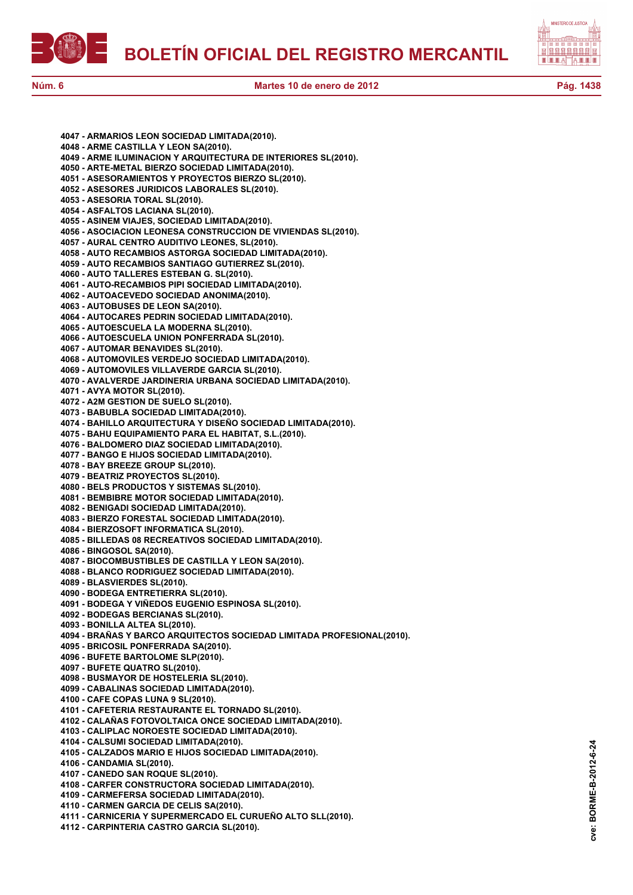**BOLETÍN OFICIAL DEL REGISTRO MERCANTIL**





**cve: BORME-B-2012-6-24**

cve:

BORME-B-2012-6-24

**4047 - ARMARIOS LEON SOCIEDAD LIMITADA(2010). 4048 - ARME CASTILLA Y LEON SA(2010). 4049 - ARME ILUMINACION Y ARQUITECTURA DE INTERIORES SL(2010). 4050 - ARTE-METAL BIERZO SOCIEDAD LIMITADA(2010). 4051 - ASESORAMIENTOS Y PROYECTOS BIERZO SL(2010). 4052 - ASESORES JURIDICOS LABORALES SL(2010). 4053 - ASESORIA TORAL SL(2010). 4054 - ASFALTOS LACIANA SL(2010). 4055 - ASINEM VIAJES, SOCIEDAD LIMITADA(2010). 4056 - ASOCIACION LEONESA CONSTRUCCION DE VIVIENDAS SL(2010). 4057 - AURAL CENTRO AUDITIVO LEONES, SL(2010). 4058 - AUTO RECAMBIOS ASTORGA SOCIEDAD LIMITADA(2010). 4059 - AUTO RECAMBIOS SANTIAGO GUTIERREZ SL(2010). 4060 - AUTO TALLERES ESTEBAN G. SL(2010). 4061 - AUTO-RECAMBIOS PIPI SOCIEDAD LIMITADA(2010). 4062 - AUTOACEVEDO SOCIEDAD ANONIMA(2010). 4063 - AUTOBUSES DE LEON SA(2010). 4064 - AUTOCARES PEDRIN SOCIEDAD LIMITADA(2010). 4065 - AUTOESCUELA LA MODERNA SL(2010). 4066 - AUTOESCUELA UNION PONFERRADA SL(2010). 4067 - AUTOMAR BENAVIDES SL(2010). 4068 - AUTOMOVILES VERDEJO SOCIEDAD LIMITADA(2010). 4069 - AUTOMOVILES VILLAVERDE GARCIA SL(2010). 4070 - AVALVERDE JARDINERIA URBANA SOCIEDAD LIMITADA(2010). 4071 - AVYA MOTOR SL(2010). 4072 - A2M GESTION DE SUELO SL(2010). 4073 - BABUBLA SOCIEDAD LIMITADA(2010). 4074 - BAHILLO ARQUITECTURA Y DISEÑO SOCIEDAD LIMITADA(2010). 4075 - BAHU EQUIPAMIENTO PARA EL HABITAT, S.L.(2010). 4076 - BALDOMERO DIAZ SOCIEDAD LIMITADA(2010). 4077 - BANGO E HIJOS SOCIEDAD LIMITADA(2010). 4078 - BAY BREEZE GROUP SL(2010). 4079 - BEATRIZ PROYECTOS SL(2010). 4080 - BELS PRODUCTOS Y SISTEMAS SL(2010). 4081 - BEMBIBRE MOTOR SOCIEDAD LIMITADA(2010). 4082 - BENIGADI SOCIEDAD LIMITADA(2010). 4083 - BIERZO FORESTAL SOCIEDAD LIMITADA(2010). 4084 - BIERZOSOFT INFORMATICA SL(2010). 4085 - BILLEDAS 08 RECREATIVOS SOCIEDAD LIMITADA(2010). 4086 - BINGOSOL SA(2010). 4087 - BIOCOMBUSTIBLES DE CASTILLA Y LEON SA(2010). 4088 - BLANCO RODRIGUEZ SOCIEDAD LIMITADA(2010). 4089 - BLASVIERDES SL(2010). 4090 - BODEGA ENTRETIERRA SL(2010). 4091 - BODEGA Y VIÑEDOS EUGENIO ESPINOSA SL(2010). 4092 - BODEGAS BERCIANAS SL(2010). 4093 - BONILLA ALTEA SL(2010). 4094 - BRAÑAS Y BARCO ARQUITECTOS SOCIEDAD LIMITADA PROFESIONAL(2010). 4095 - BRICOSIL PONFERRADA SA(2010). 4096 - BUFETE BARTOLOME SLP(2010). 4097 - BUFETE QUATRO SL(2010). 4098 - BUSMAYOR DE HOSTELERIA SL(2010). 4099 - CABALINAS SOCIEDAD LIMITADA(2010). 4100 - CAFE COPAS LUNA 9 SL(2010). 4101 - CAFETERIA RESTAURANTE EL TORNADO SL(2010). 4102 - CALAÑAS FOTOVOLTAICA ONCE SOCIEDAD LIMITADA(2010). 4103 - CALIPLAC NOROESTE SOCIEDAD LIMITADA(2010). 4104 - CALSUMI SOCIEDAD LIMITADA(2010). 4105 - CALZADOS MARIO E HIJOS SOCIEDAD LIMITADA(2010). 4106 - CANDAMIA SL(2010). 4107 - CANEDO SAN ROQUE SL(2010). 4108 - CARFER CONSTRUCTORA SOCIEDAD LIMITADA(2010). 4109 - CARMEFERSA SOCIEDAD LIMITADA(2010). 4110 - CARMEN GARCIA DE CELIS SA(2010). 4111 - CARNICERIA Y SUPERMERCADO EL CURUEÑO ALTO SLL(2010). 4112 - CARPINTERIA CASTRO GARCIA SL(2010).**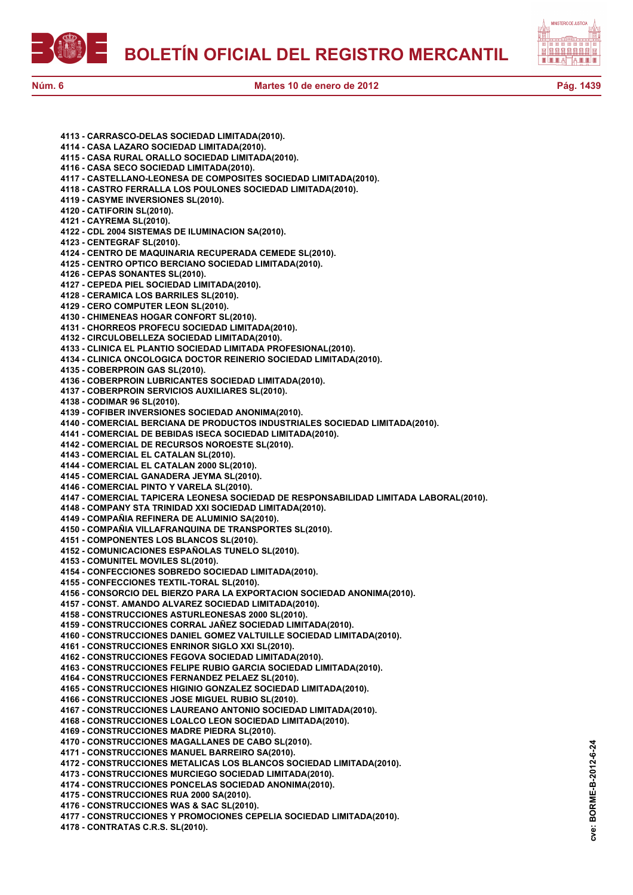



**4113 - CARRASCO-DELAS SOCIEDAD LIMITADA(2010). 4114 - CASA LAZARO SOCIEDAD LIMITADA(2010). 4115 - CASA RURAL ORALLO SOCIEDAD LIMITADA(2010). 4116 - CASA SECO SOCIEDAD LIMITADA(2010). 4117 - CASTELLANO-LEONESA DE COMPOSITES SOCIEDAD LIMITADA(2010). 4118 - CASTRO FERRALLA LOS POULONES SOCIEDAD LIMITADA(2010). 4119 - CASYME INVERSIONES SL(2010). 4120 - CATIFORIN SL(2010). 4121 - CAYREMA SL(2010). 4122 - CDL 2004 SISTEMAS DE ILUMINACION SA(2010). 4123 - CENTEGRAF SL(2010). 4124 - CENTRO DE MAQUINARIA RECUPERADA CEMEDE SL(2010). 4125 - CENTRO OPTICO BERCIANO SOCIEDAD LIMITADA(2010). 4126 - CEPAS SONANTES SL(2010). 4127 - CEPEDA PIEL SOCIEDAD LIMITADA(2010). 4128 - CERAMICA LOS BARRILES SL(2010). 4129 - CERO COMPUTER LEON SL(2010). 4130 - CHIMENEAS HOGAR CONFORT SL(2010). 4131 - CHORREOS PROFECU SOCIEDAD LIMITADA(2010). 4132 - CIRCULOBELLEZA SOCIEDAD LIMITADA(2010). 4133 - CLINICA EL PLANTIO SOCIEDAD LIMITADA PROFESIONAL(2010). 4134 - CLINICA ONCOLOGICA DOCTOR REINERIO SOCIEDAD LIMITADA(2010). 4135 - COBERPROIN GAS SL(2010). 4136 - COBERPROIN LUBRICANTES SOCIEDAD LIMITADA(2010). 4137 - COBERPROIN SERVICIOS AUXILIARES SL(2010). 4138 - CODIMAR 96 SL(2010). 4139 - COFIBER INVERSIONES SOCIEDAD ANONIMA(2010). 4140 - COMERCIAL BERCIANA DE PRODUCTOS INDUSTRIALES SOCIEDAD LIMITADA(2010). 4141 - COMERCIAL DE BEBIDAS ISECA SOCIEDAD LIMITADA(2010). 4142 - COMERCIAL DE RECURSOS NOROESTE SL(2010). 4143 - COMERCIAL EL CATALAN SL(2010). 4144 - COMERCIAL EL CATALAN 2000 SL(2010). 4145 - COMERCIAL GANADERA JEYMA SL(2010). 4146 - COMERCIAL PINTO Y VARELA SL(2010). 4147 - COMERCIAL TAPICERA LEONESA SOCIEDAD DE RESPONSABILIDAD LIMITADA LABORAL(2010). 4148 - COMPANY STA TRINIDAD XXI SOCIEDAD LIMITADA(2010). 4149 - COMPAÑIA REFINERA DE ALUMINIO SA(2010). 4150 - COMPAÑIA VILLAFRANQUINA DE TRANSPORTES SL(2010). 4151 - COMPONENTES LOS BLANCOS SL(2010). 4152 - COMUNICACIONES ESPAÑOLAS TUNELO SL(2010). 4153 - COMUNITEL MOVILES SL(2010). 4154 - CONFECCIONES SOBREDO SOCIEDAD LIMITADA(2010). 4155 - CONFECCIONES TEXTIL-TORAL SL(2010). 4156 - CONSORCIO DEL BIERZO PARA LA EXPORTACION SOCIEDAD ANONIMA(2010). 4157 - CONST. AMANDO ALVAREZ SOCIEDAD LIMITADA(2010). 4158 - CONSTRUCCIONES ASTURLEONESAS 2000 SL(2010). 4159 - CONSTRUCCIONES CORRAL JAÑEZ SOCIEDAD LIMITADA(2010). 4160 - CONSTRUCCIONES DANIEL GOMEZ VALTUILLE SOCIEDAD LIMITADA(2010). 4161 - CONSTRUCCIONES ENRINOR SIGLO XXI SL(2010). 4162 - CONSTRUCCIONES FEGOVA SOCIEDAD LIMITADA(2010). 4163 - CONSTRUCCIONES FELIPE RUBIO GARCIA SOCIEDAD LIMITADA(2010). 4164 - CONSTRUCCIONES FERNANDEZ PELAEZ SL(2010). 4165 - CONSTRUCCIONES HIGINIO GONZALEZ SOCIEDAD LIMITADA(2010). 4166 - CONSTRUCCIONES JOSE MIGUEL RUBIO SL(2010). 4167 - CONSTRUCCIONES LAUREANO ANTONIO SOCIEDAD LIMITADA(2010). 4168 - CONSTRUCCIONES LOALCO LEON SOCIEDAD LIMITADA(2010). 4169 - CONSTRUCCIONES MADRE PIEDRA SL(2010). 4170 - CONSTRUCCIONES MAGALLANES DE CABO SL(2010). 4171 - CONSTRUCCIONES MANUEL BARREIRO SA(2010). 4172 - CONSTRUCCIONES METALICAS LOS BLANCOS SOCIEDAD LIMITADA(2010). 4173 - CONSTRUCCIONES MURCIEGO SOCIEDAD LIMITADA(2010). 4174 - CONSTRUCCIONES PONCELAS SOCIEDAD ANONIMA(2010). 4175 - CONSTRUCCIONES RUA 2000 SA(2010). 4176 - CONSTRUCCIONES WAS & SAC SL(2010).**

**4177 - CONSTRUCCIONES Y PROMOCIONES CEPELIA SOCIEDAD LIMITADA(2010).**

**4178 - CONTRATAS C.R.S. SL(2010).**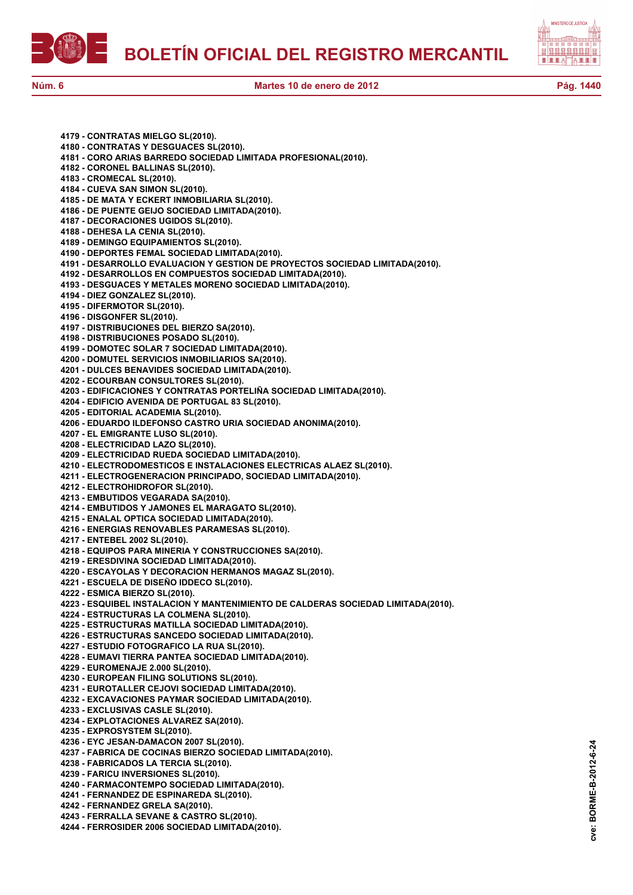

**4179 - CONTRATAS MIELGO SL(2010). 4180 - CONTRATAS Y DESGUACES SL(2010). 4181 - CORO ARIAS BARREDO SOCIEDAD LIMITADA PROFESIONAL(2010). 4182 - CORONEL BALLINAS SL(2010). 4183 - CROMECAL SL(2010). 4184 - CUEVA SAN SIMON SL(2010). 4185 - DE MATA Y ECKERT INMOBILIARIA SL(2010). 4186 - DE PUENTE GEIJO SOCIEDAD LIMITADA(2010). 4187 - DECORACIONES UGIDOS SL(2010). 4188 - DEHESA LA CENIA SL(2010). 4189 - DEMINGO EQUIPAMIENTOS SL(2010). 4190 - DEPORTES FEMAL SOCIEDAD LIMITADA(2010). 4191 - DESARROLLO EVALUACION Y GESTION DE PROYECTOS SOCIEDAD LIMITADA(2010). 4192 - DESARROLLOS EN COMPUESTOS SOCIEDAD LIMITADA(2010). 4193 - DESGUACES Y METALES MORENO SOCIEDAD LIMITADA(2010). 4194 - DIEZ GONZALEZ SL(2010). 4195 - DIFERMOTOR SL(2010). 4196 - DISGONFER SL(2010). 4197 - DISTRIBUCIONES DEL BIERZO SA(2010). 4198 - DISTRIBUCIONES POSADO SL(2010). 4199 - DOMOTEC SOLAR 7 SOCIEDAD LIMITADA(2010). 4200 - DOMUTEL SERVICIOS INMOBILIARIOS SA(2010). 4201 - DULCES BENAVIDES SOCIEDAD LIMITADA(2010). 4202 - ECOURBAN CONSULTORES SL(2010). 4203 - EDIFICACIONES Y CONTRATAS PORTELIÑA SOCIEDAD LIMITADA(2010). 4204 - EDIFICIO AVENIDA DE PORTUGAL 83 SL(2010). 4205 - EDITORIAL ACADEMIA SL(2010). 4206 - EDUARDO ILDEFONSO CASTRO URIA SOCIEDAD ANONIMA(2010). 4207 - EL EMIGRANTE LUSO SL(2010). 4208 - ELECTRICIDAD LAZO SL(2010). 4209 - ELECTRICIDAD RUEDA SOCIEDAD LIMITADA(2010). 4210 - ELECTRODOMESTICOS E INSTALACIONES ELECTRICAS ALAEZ SL(2010). 4211 - ELECTROGENERACION PRINCIPADO, SOCIEDAD LIMITADA(2010). 4212 - ELECTROHIDROFOR SL(2010). 4213 - EMBUTIDOS VEGARADA SA(2010). 4214 - EMBUTIDOS Y JAMONES EL MARAGATO SL(2010). 4215 - ENALAL OPTICA SOCIEDAD LIMITADA(2010). 4216 - ENERGIAS RENOVABLES PARAMESAS SL(2010). 4217 - ENTEBEL 2002 SL(2010). 4218 - EQUIPOS PARA MINERIA Y CONSTRUCCIONES SA(2010). 4219 - ERESDIVINA SOCIEDAD LIMITADA(2010). 4220 - ESCAYOLAS Y DECORACION HERMANOS MAGAZ SL(2010). 4221 - ESCUELA DE DISEÑO IDDECO SL(2010). 4222 - ESMICA BIERZO SL(2010). 4223 - ESQUIBEL INSTALACION Y MANTENIMIENTO DE CALDERAS SOCIEDAD LIMITADA(2010). 4224 - ESTRUCTURAS LA COLMENA SL(2010). 4225 - ESTRUCTURAS MATILLA SOCIEDAD LIMITADA(2010). 4226 - ESTRUCTURAS SANCEDO SOCIEDAD LIMITADA(2010). 4227 - ESTUDIO FOTOGRAFICO LA RUA SL(2010). 4228 - EUMAVI TIERRA PANTEA SOCIEDAD LIMITADA(2010). 4229 - EUROMENAJE 2.000 SL(2010). 4230 - EUROPEAN FILING SOLUTIONS SL(2010). 4231 - EUROTALLER CEJOVI SOCIEDAD LIMITADA(2010). 4232 - EXCAVACIONES PAYMAR SOCIEDAD LIMITADA(2010). 4233 - EXCLUSIVAS CASLE SL(2010). 4234 - EXPLOTACIONES ALVAREZ SA(2010). 4235 - EXPROSYSTEM SL(2010). 4236 - EYC JESAN-DAMACON 2007 SL(2010). 4237 - FABRICA DE COCINAS BIERZO SOCIEDAD LIMITADA(2010). 4238 - FABRICADOS LA TERCIA SL(2010). 4239 - FARICU INVERSIONES SL(2010). 4240 - FARMACONTEMPO SOCIEDAD LIMITADA(2010). 4241 - FERNANDEZ DE ESPINAREDA SL(2010). 4242 - FERNANDEZ GRELA SA(2010). 4243 - FERRALLA SEVANE & CASTRO SL(2010).**

**4244 - FERROSIDER 2006 SOCIEDAD LIMITADA(2010).**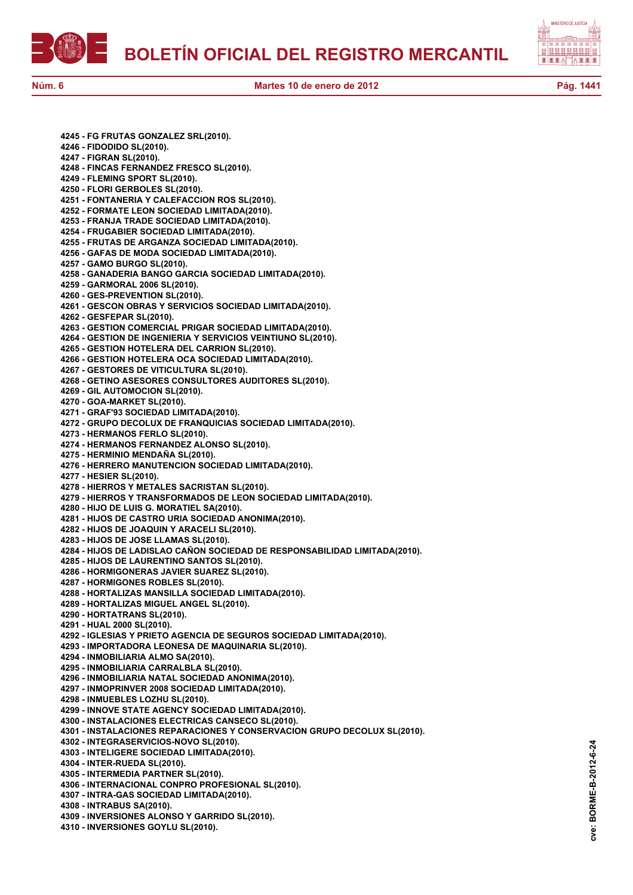

**cve: BORME-B-2012-6-24**

cve:

BORME-B-2012-6-24

**4245 - FG FRUTAS GONZALEZ SRL(2010). 4246 - FIDODIDO SL(2010). 4247 - FIGRAN SL(2010). 4248 - FINCAS FERNANDEZ FRESCO SL(2010). 4249 - FLEMING SPORT SL(2010). 4250 - FLORI GERBOLES SL(2010). 4251 - FONTANERIA Y CALEFACCION ROS SL(2010). 4252 - FORMATE LEON SOCIEDAD LIMITADA(2010). 4253 - FRANJA TRADE SOCIEDAD LIMITADA(2010). 4254 - FRUGABIER SOCIEDAD LIMITADA(2010). 4255 - FRUTAS DE ARGANZA SOCIEDAD LIMITADA(2010). 4256 - GAFAS DE MODA SOCIEDAD LIMITADA(2010). 4257 - GAMO BURGO SL(2010). 4258 - GANADERIA BANGO GARCIA SOCIEDAD LIMITADA(2010). 4259 - GARMORAL 2006 SL(2010). 4260 - GES-PREVENTION SL(2010). 4261 - GESCON OBRAS Y SERVICIOS SOCIEDAD LIMITADA(2010). 4262 - GESFEPAR SL(2010). 4263 - GESTION COMERCIAL PRIGAR SOCIEDAD LIMITADA(2010). 4264 - GESTION DE INGENIERIA Y SERVICIOS VEINTIUNO SL(2010). 4265 - GESTION HOTELERA DEL CARRION SL(2010). 4266 - GESTION HOTELERA OCA SOCIEDAD LIMITADA(2010). 4267 - GESTORES DE VITICULTURA SL(2010). 4268 - GETINO ASESORES CONSULTORES AUDITORES SL(2010). 4269 - GIL AUTOMOCION SL(2010). 4270 - GOA-MARKET SL(2010). 4271 - GRAF'93 SOCIEDAD LIMITADA(2010). 4272 - GRUPO DECOLUX DE FRANQUICIAS SOCIEDAD LIMITADA(2010). 4273 - HERMANOS FERLO SL(2010). 4274 - HERMANOS FERNANDEZ ALONSO SL(2010). 4275 - HERMINIO MENDAÑA SL(2010). 4276 - HERRERO MANUTENCION SOCIEDAD LIMITADA(2010). 4277 - HESIER SL(2010). 4278 - HIERROS Y METALES SACRISTAN SL(2010). 4279 - HIERROS Y TRANSFORMADOS DE LEON SOCIEDAD LIMITADA(2010). 4280 - HIJO DE LUIS G. MORATIEL SA(2010). 4281 - HIJOS DE CASTRO URIA SOCIEDAD ANONIMA(2010). 4282 - HIJOS DE JOAQUIN Y ARACELI SL(2010). 4283 - HIJOS DE JOSE LLAMAS SL(2010). 4284 - HIJOS DE LADISLAO CAÑON SOCIEDAD DE RESPONSABILIDAD LIMITADA(2010). 4285 - HIJOS DE LAURENTINO SANTOS SL(2010). 4286 - HORMIGONERAS JAVIER SUAREZ SL(2010). 4287 - HORMIGONES ROBLES SL(2010). 4288 - HORTALIZAS MANSILLA SOCIEDAD LIMITADA(2010). 4289 - HORTALIZAS MIGUEL ANGEL SL(2010). 4290 - HORTATRANS SL(2010). 4291 - HUAL 2000 SL(2010). 4292 - IGLESIAS Y PRIETO AGENCIA DE SEGUROS SOCIEDAD LIMITADA(2010). 4293 - IMPORTADORA LEONESA DE MAQUINARIA SL(2010). 4294 - INMOBILIARIA ALMO SA(2010). 4295 - INMOBILIARIA CARRALBLA SL(2010). 4296 - INMOBILIARIA NATAL SOCIEDAD ANONIMA(2010). 4297 - INMOPRINVER 2008 SOCIEDAD LIMITADA(2010). 4298 - INMUEBLES LOZHU SL(2010). 4299 - INNOVE STATE AGENCY SOCIEDAD LIMITADA(2010). 4300 - INSTALACIONES ELECTRICAS CANSECO SL(2010). 4301 - INSTALACIONES REPARACIONES Y CONSERVACION GRUPO DECOLUX SL(2010). 4302 - INTEGRASERVICIOS-NOVO SL(2010). 4303 - INTELIGERE SOCIEDAD LIMITADA(2010). 4304 - INTER-RUEDA SL(2010). 4305 - INTERMEDIA PARTNER SL(2010). 4306 - INTERNACIONAL CONPRO PROFESIONAL SL(2010). 4307 - INTRA-GAS SOCIEDAD LIMITADA(2010). 4308 - INTRABUS SA(2010). 4309 - INVERSIONES ALONSO Y GARRIDO SL(2010). 4310 - INVERSIONES GOYLU SL(2010).**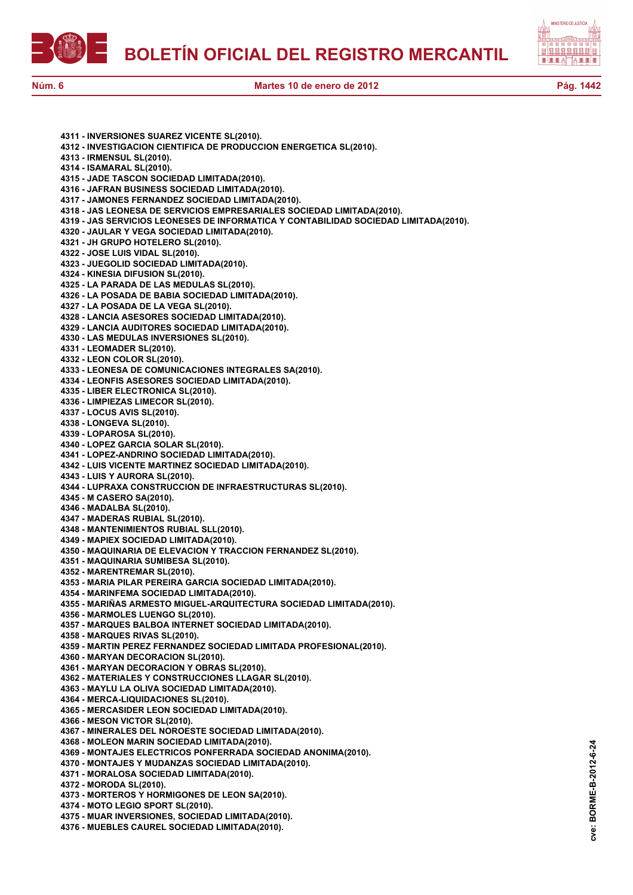



**4311 - INVERSIONES SUAREZ VICENTE SL(2010). 4312 - INVESTIGACION CIENTIFICA DE PRODUCCION ENERGETICA SL(2010). 4313 - IRMENSUL SL(2010). 4314 - ISAMARAL SL(2010). 4315 - JADE TASCON SOCIEDAD LIMITADA(2010). 4316 - JAFRAN BUSINESS SOCIEDAD LIMITADA(2010). 4317 - JAMONES FERNANDEZ SOCIEDAD LIMITADA(2010). 4318 - JAS LEONESA DE SERVICIOS EMPRESARIALES SOCIEDAD LIMITADA(2010). 4319 - JAS SERVICIOS LEONESES DE INFORMATICA Y CONTABILIDAD SOCIEDAD LIMITADA(2010). 4320 - JAULAR Y VEGA SOCIEDAD LIMITADA(2010). 4321 - JH GRUPO HOTELERO SL(2010). 4322 - JOSE LUIS VIDAL SL(2010). 4323 - JUEGOLID SOCIEDAD LIMITADA(2010). 4324 - KINESIA DIFUSION SL(2010). 4325 - LA PARADA DE LAS MEDULAS SL(2010). 4326 - LA POSADA DE BABIA SOCIEDAD LIMITADA(2010). 4327 - LA POSADA DE LA VEGA SL(2010). 4328 - LANCIA ASESORES SOCIEDAD LIMITADA(2010). 4329 - LANCIA AUDITORES SOCIEDAD LIMITADA(2010). 4330 - LAS MEDULAS INVERSIONES SL(2010). 4331 - LEOMADER SL(2010). 4332 - LEON COLOR SL(2010). 4333 - LEONESA DE COMUNICACIONES INTEGRALES SA(2010). 4334 - LEONFIS ASESORES SOCIEDAD LIMITADA(2010). 4335 - LIBER ELECTRONICA SL(2010). 4336 - LIMPIEZAS LIMECOR SL(2010). 4337 - LOCUS AVIS SL(2010). 4338 - LONGEVA SL(2010). 4339 - LOPAROSA SL(2010). 4340 - LOPEZ GARCIA SOLAR SL(2010). 4341 - LOPEZ-ANDRINO SOCIEDAD LIMITADA(2010). 4342 - LUIS VICENTE MARTINEZ SOCIEDAD LIMITADA(2010). 4343 - LUIS Y AURORA SL(2010). 4344 - LUPRAXA CONSTRUCCION DE INFRAESTRUCTURAS SL(2010). 4345 - M CASERO SA(2010). 4346 - MADALBA SL(2010). 4347 - MADERAS RUBIAL SL(2010). 4348 - MANTENIMIENTOS RUBIAL SLL(2010). 4349 - MAPIEX SOCIEDAD LIMITADA(2010). 4350 - MAQUINARIA DE ELEVACION Y TRACCION FERNANDEZ SL(2010). 4351 - MAQUINARIA SUMIBESA SL(2010). 4352 - MARENTREMAR SL(2010). 4353 - MARIA PILAR PEREIRA GARCIA SOCIEDAD LIMITADA(2010). 4354 - MARINFEMA SOCIEDAD LIMITADA(2010). 4355 - MARIÑAS ARMESTO MIGUEL-ARQUITECTURA SOCIEDAD LIMITADA(2010). 4356 - MARMOLES LUENGO SL(2010). 4357 - MARQUES BALBOA INTERNET SOCIEDAD LIMITADA(2010). 4358 - MARQUES RIVAS SL(2010). 4359 - MARTIN PEREZ FERNANDEZ SOCIEDAD LIMITADA PROFESIONAL(2010). 4360 - MARYAN DECORACION SL(2010). 4361 - MARYAN DECORACION Y OBRAS SL(2010). 4362 - MATERIALES Y CONSTRUCCIONES LLAGAR SL(2010). 4363 - MAYLU LA OLIVA SOCIEDAD LIMITADA(2010). 4364 - MERCA-LIQUIDACIONES SL(2010). 4365 - MERCASIDER LEON SOCIEDAD LIMITADA(2010). 4366 - MESON VICTOR SL(2010). 4367 - MINERALES DEL NOROESTE SOCIEDAD LIMITADA(2010). 4368 - MOLEON MARIN SOCIEDAD LIMITADA(2010). 4369 - MONTAJES ELECTRICOS PONFERRADA SOCIEDAD ANONIMA(2010). 4370 - MONTAJES Y MUDANZAS SOCIEDAD LIMITADA(2010). 4371 - MORALOSA SOCIEDAD LIMITADA(2010). 4372 - MORODA SL(2010). 4373 - MORTEROS Y HORMIGONES DE LEON SA(2010). 4374 - MOTO LEGIO SPORT SL(2010). 4375 - MUAR INVERSIONES, SOCIEDAD LIMITADA(2010).**

**4376 - MUEBLES CAUREL SOCIEDAD LIMITADA(2010).**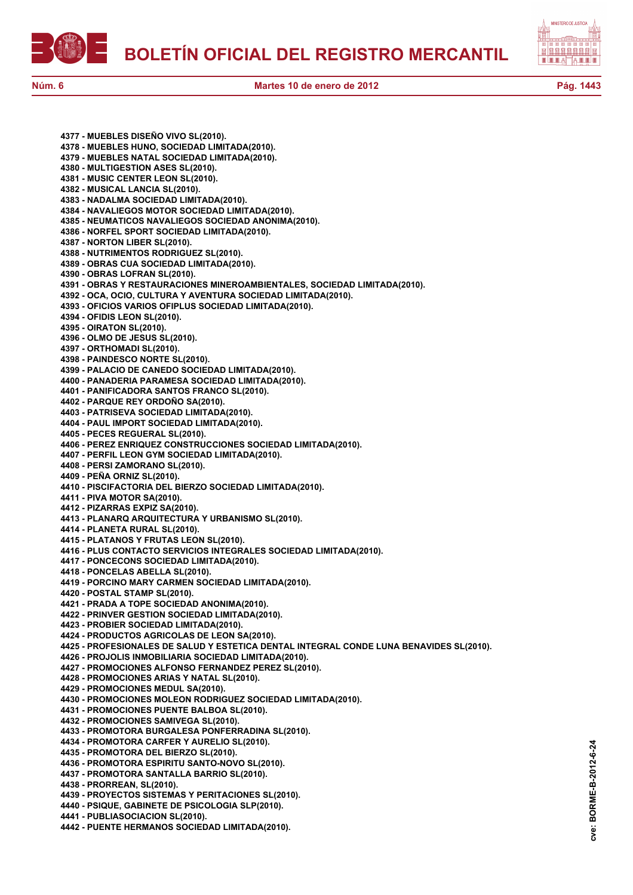

**4377 - MUEBLES DISEÑO VIVO SL(2010). 4378 - MUEBLES HUNO, SOCIEDAD LIMITADA(2010). 4379 - MUEBLES NATAL SOCIEDAD LIMITADA(2010). 4380 - MULTIGESTION ASES SL(2010). 4381 - MUSIC CENTER LEON SL(2010). 4382 - MUSICAL LANCIA SL(2010). 4383 - NADALMA SOCIEDAD LIMITADA(2010). 4384 - NAVALIEGOS MOTOR SOCIEDAD LIMITADA(2010). 4385 - NEUMATICOS NAVALIEGOS SOCIEDAD ANONIMA(2010). 4386 - NORFEL SPORT SOCIEDAD LIMITADA(2010). 4387 - NORTON LIBER SL(2010). 4388 - NUTRIMENTOS RODRIGUEZ SL(2010). 4389 - OBRAS CUA SOCIEDAD LIMITADA(2010). 4390 - OBRAS LOFRAN SL(2010). 4391 - OBRAS Y RESTAURACIONES MINEROAMBIENTALES, SOCIEDAD LIMITADA(2010). 4392 - OCA, OCIO, CULTURA Y AVENTURA SOCIEDAD LIMITADA(2010). 4393 - OFICIOS VARIOS OFIPLUS SOCIEDAD LIMITADA(2010). 4394 - OFIDIS LEON SL(2010). 4395 - OIRATON SL(2010). 4396 - OLMO DE JESUS SL(2010). 4397 - ORTHOMADI SL(2010). 4398 - PAINDESCO NORTE SL(2010). 4399 - PALACIO DE CANEDO SOCIEDAD LIMITADA(2010). 4400 - PANADERIA PARAMESA SOCIEDAD LIMITADA(2010). 4401 - PANIFICADORA SANTOS FRANCO SL(2010). 4402 - PARQUE REY ORDOÑO SA(2010). 4403 - PATRISEVA SOCIEDAD LIMITADA(2010). 4404 - PAUL IMPORT SOCIEDAD LIMITADA(2010). 4405 - PECES REGUERAL SL(2010). 4406 - PEREZ ENRIQUEZ CONSTRUCCIONES SOCIEDAD LIMITADA(2010). 4407 - PERFIL LEON GYM SOCIEDAD LIMITADA(2010). 4408 - PERSI ZAMORANO SL(2010). 4409 - PEÑA ORNIZ SL(2010). 4410 - PISCIFACTORIA DEL BIERZO SOCIEDAD LIMITADA(2010). 4411 - PIVA MOTOR SA(2010). 4412 - PIZARRAS EXPIZ SA(2010). 4413 - PLANARQ ARQUITECTURA Y URBANISMO SL(2010). 4414 - PLANETA RURAL SL(2010). 4415 - PLATANOS Y FRUTAS LEON SL(2010). 4416 - PLUS CONTACTO SERVICIOS INTEGRALES SOCIEDAD LIMITADA(2010). 4417 - PONCECONS SOCIEDAD LIMITADA(2010). 4418 - PONCELAS ABELLA SL(2010). 4419 - PORCINO MARY CARMEN SOCIEDAD LIMITADA(2010). 4420 - POSTAL STAMP SL(2010). 4421 - PRADA A TOPE SOCIEDAD ANONIMA(2010). 4422 - PRINVER GESTION SOCIEDAD LIMITADA(2010). 4423 - PROBIER SOCIEDAD LIMITADA(2010). 4424 - PRODUCTOS AGRICOLAS DE LEON SA(2010). 4425 - PROFESIONALES DE SALUD Y ESTETICA DENTAL INTEGRAL CONDE LUNA BENAVIDES SL(2010). 4426 - PROJOLIS INMOBILIARIA SOCIEDAD LIMITADA(2010). 4427 - PROMOCIONES ALFONSO FERNANDEZ PEREZ SL(2010). 4428 - PROMOCIONES ARIAS Y NATAL SL(2010). 4429 - PROMOCIONES MEDUL SA(2010). 4430 - PROMOCIONES MOLEON RODRIGUEZ SOCIEDAD LIMITADA(2010). 4431 - PROMOCIONES PUENTE BALBOA SL(2010). 4432 - PROMOCIONES SAMIVEGA SL(2010). 4433 - PROMOTORA BURGALESA PONFERRADINA SL(2010). 4434 - PROMOTORA CARFER Y AURELIO SL(2010). 4435 - PROMOTORA DEL BIERZO SL(2010). 4436 - PROMOTORA ESPIRITU SANTO-NOVO SL(2010). 4437 - PROMOTORA SANTALLA BARRIO SL(2010). 4438 - PRORREAN, SL(2010). 4439 - PROYECTOS SISTEMAS Y PERITACIONES SL(2010). 4440 - PSIQUE, GABINETE DE PSICOLOGIA SLP(2010). 4441 - PUBLIASOCIACION SL(2010). 4442 - PUENTE HERMANOS SOCIEDAD LIMITADA(2010).**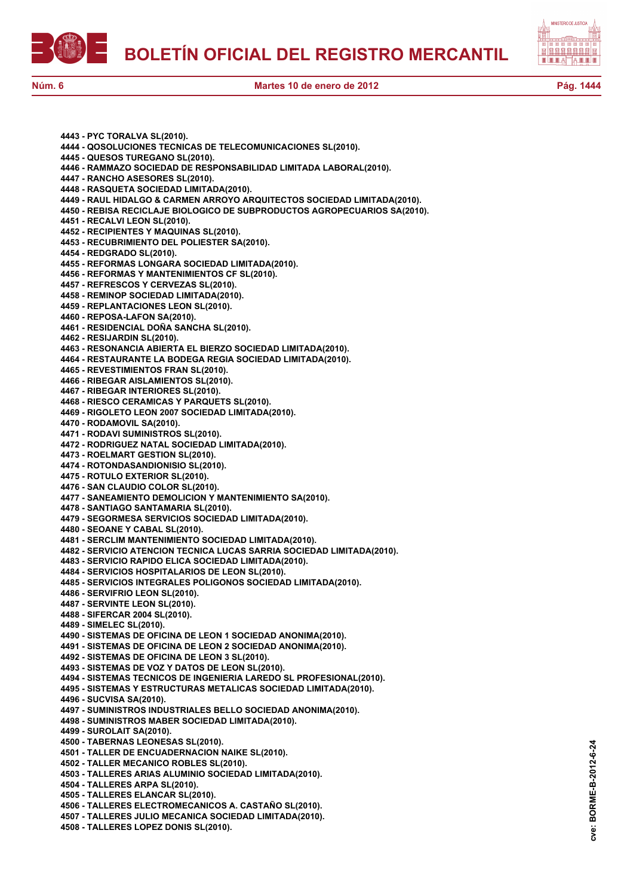



**4443 - PYC TORALVA SL(2010). 4444 - QOSOLUCIONES TECNICAS DE TELECOMUNICACIONES SL(2010). 4445 - QUESOS TUREGANO SL(2010). 4446 - RAMMAZO SOCIEDAD DE RESPONSABILIDAD LIMITADA LABORAL(2010). 4447 - RANCHO ASESORES SL(2010). 4448 - RASQUETA SOCIEDAD LIMITADA(2010). 4449 - RAUL HIDALGO & CARMEN ARROYO ARQUITECTOS SOCIEDAD LIMITADA(2010). 4450 - REBISA RECICLAJE BIOLOGICO DE SUBPRODUCTOS AGROPECUARIOS SA(2010). 4451 - RECALVI LEON SL(2010). 4452 - RECIPIENTES Y MAQUINAS SL(2010). 4453 - RECUBRIMIENTO DEL POLIESTER SA(2010). 4454 - REDGRADO SL(2010). 4455 - REFORMAS LONGARA SOCIEDAD LIMITADA(2010). 4456 - REFORMAS Y MANTENIMIENTOS CF SL(2010). 4457 - REFRESCOS Y CERVEZAS SL(2010). 4458 - REMINOP SOCIEDAD LIMITADA(2010). 4459 - REPLANTACIONES LEON SL(2010). 4460 - REPOSA-LAFON SA(2010). 4461 - RESIDENCIAL DOÑA SANCHA SL(2010). 4462 - RESIJARDIN SL(2010). 4463 - RESONANCIA ABIERTA EL BIERZO SOCIEDAD LIMITADA(2010). 4464 - RESTAURANTE LA BODEGA REGIA SOCIEDAD LIMITADA(2010). 4465 - REVESTIMIENTOS FRAN SL(2010). 4466 - RIBEGAR AISLAMIENTOS SL(2010). 4467 - RIBEGAR INTERIORES SL(2010). 4468 - RIESCO CERAMICAS Y PARQUETS SL(2010). 4469 - RIGOLETO LEON 2007 SOCIEDAD LIMITADA(2010). 4470 - RODAMOVIL SA(2010). 4471 - RODAVI SUMINISTROS SL(2010). 4472 - RODRIGUEZ NATAL SOCIEDAD LIMITADA(2010). 4473 - ROELMART GESTION SL(2010). 4474 - ROTONDASANDIONISIO SL(2010). 4475 - ROTULO EXTERIOR SL(2010). 4476 - SAN CLAUDIO COLOR SL(2010). 4477 - SANEAMIENTO DEMOLICION Y MANTENIMIENTO SA(2010). 4478 - SANTIAGO SANTAMARIA SL(2010). 4479 - SEGORMESA SERVICIOS SOCIEDAD LIMITADA(2010). 4480 - SEOANE Y CABAL SL(2010). 4481 - SERCLIM MANTENIMIENTO SOCIEDAD LIMITADA(2010). 4482 - SERVICIO ATENCION TECNICA LUCAS SARRIA SOCIEDAD LIMITADA(2010). 4483 - SERVICIO RAPIDO ELICA SOCIEDAD LIMITADA(2010). 4484 - SERVICIOS HOSPITALARIOS DE LEON SL(2010). 4485 - SERVICIOS INTEGRALES POLIGONOS SOCIEDAD LIMITADA(2010). 4486 - SERVIFRIO LEON SL(2010). 4487 - SERVINTE LEON SL(2010). 4488 - SIFERCAR 2004 SL(2010). 4489 - SIMELEC SL(2010). 4490 - SISTEMAS DE OFICINA DE LEON 1 SOCIEDAD ANONIMA(2010). 4491 - SISTEMAS DE OFICINA DE LEON 2 SOCIEDAD ANONIMA(2010). 4492 - SISTEMAS DE OFICINA DE LEON 3 SL(2010). 4493 - SISTEMAS DE VOZ Y DATOS DE LEON SL(2010). 4494 - SISTEMAS TECNICOS DE INGENIERIA LAREDO SL PROFESIONAL(2010). 4495 - SISTEMAS Y ESTRUCTURAS METALICAS SOCIEDAD LIMITADA(2010). 4496 - SUCVISA SA(2010). 4497 - SUMINISTROS INDUSTRIALES BELLO SOCIEDAD ANONIMA(2010). 4498 - SUMINISTROS MABER SOCIEDAD LIMITADA(2010). 4499 - SUROLAIT SA(2010). 4500 - TABERNAS LEONESAS SL(2010). 4501 - TALLER DE ENCUADERNACION NAIKE SL(2010). 4502 - TALLER MECANICO ROBLES SL(2010). 4503 - TALLERES ARIAS ALUMINIO SOCIEDAD LIMITADA(2010). 4504 - TALLERES ARPA SL(2010). 4505 - TALLERES ELANCAR SL(2010). 4506 - TALLERES ELECTROMECANICOS A. CASTAÑO SL(2010). 4507 - TALLERES JULIO MECANICA SOCIEDAD LIMITADA(2010). 4508 - TALLERES LOPEZ DONIS SL(2010).**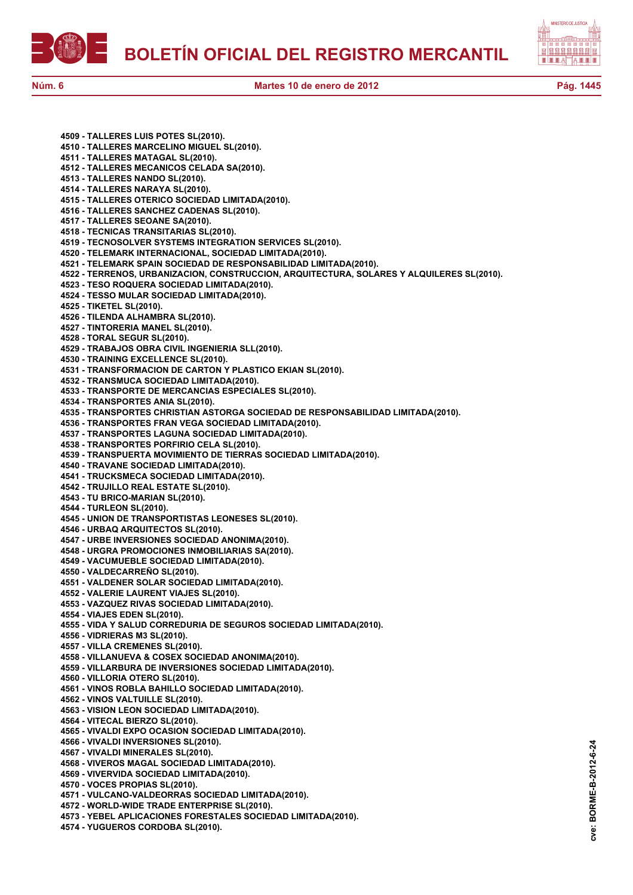



**4509 - TALLERES LUIS POTES SL(2010). 4510 - TALLERES MARCELINO MIGUEL SL(2010). 4511 - TALLERES MATAGAL SL(2010). 4512 - TALLERES MECANICOS CELADA SA(2010). 4513 - TALLERES NANDO SL(2010). 4514 - TALLERES NARAYA SL(2010). 4515 - TALLERES OTERICO SOCIEDAD LIMITADA(2010). 4516 - TALLERES SANCHEZ CADENAS SL(2010). 4517 - TALLERES SEOANE SA(2010). 4518 - TECNICAS TRANSITARIAS SL(2010). 4519 - TECNOSOLVER SYSTEMS INTEGRATION SERVICES SL(2010). 4520 - TELEMARK INTERNACIONAL, SOCIEDAD LIMITADA(2010). 4521 - TELEMARK SPAIN SOCIEDAD DE RESPONSABILIDAD LIMITADA(2010). 4522 - TERRENOS, URBANIZACION, CONSTRUCCION, ARQUITECTURA, SOLARES Y ALQUILERES SL(2010). 4523 - TESO ROQUERA SOCIEDAD LIMITADA(2010). 4524 - TESSO MULAR SOCIEDAD LIMITADA(2010). 4525 - TIKETEL SL(2010). 4526 - TILENDA ALHAMBRA SL(2010). 4527 - TINTORERIA MANEL SL(2010). 4528 - TORAL SEGUR SL(2010). 4529 - TRABAJOS OBRA CIVIL INGENIERIA SLL(2010). 4530 - TRAINING EXCELLENCE SL(2010). 4531 - TRANSFORMACION DE CARTON Y PLASTICO EKIAN SL(2010). 4532 - TRANSMUCA SOCIEDAD LIMITADA(2010). 4533 - TRANSPORTE DE MERCANCIAS ESPECIALES SL(2010). 4534 - TRANSPORTES ANIA SL(2010). 4535 - TRANSPORTES CHRISTIAN ASTORGA SOCIEDAD DE RESPONSABILIDAD LIMITADA(2010). 4536 - TRANSPORTES FRAN VEGA SOCIEDAD LIMITADA(2010). 4537 - TRANSPORTES LAGUNA SOCIEDAD LIMITADA(2010). 4538 - TRANSPORTES PORFIRIO CELA SL(2010). 4539 - TRANSPUERTA MOVIMIENTO DE TIERRAS SOCIEDAD LIMITADA(2010). 4540 - TRAVANE SOCIEDAD LIMITADA(2010). 4541 - TRUCKSMECA SOCIEDAD LIMITADA(2010). 4542 - TRUJILLO REAL ESTATE SL(2010). 4543 - TU BRICO-MARIAN SL(2010). 4544 - TURLEON SL(2010). 4545 - UNION DE TRANSPORTISTAS LEONESES SL(2010). 4546 - URBAQ ARQUITECTOS SL(2010). 4547 - URBE INVERSIONES SOCIEDAD ANONIMA(2010). 4548 - URGRA PROMOCIONES INMOBILIARIAS SA(2010). 4549 - VACUMUEBLE SOCIEDAD LIMITADA(2010). 4550 - VALDECARREÑO SL(2010). 4551 - VALDENER SOLAR SOCIEDAD LIMITADA(2010). 4552 - VALERIE LAURENT VIAJES SL(2010). 4553 - VAZQUEZ RIVAS SOCIEDAD LIMITADA(2010). 4554 - VIAJES EDEN SL(2010). 4555 - VIDA Y SALUD CORREDURIA DE SEGUROS SOCIEDAD LIMITADA(2010). 4556 - VIDRIERAS M3 SL(2010). 4557 - VILLA CREMENES SL(2010). 4558 - VILLANUEVA & COSEX SOCIEDAD ANONIMA(2010). 4559 - VILLARBURA DE INVERSIONES SOCIEDAD LIMITADA(2010). 4560 - VILLORIA OTERO SL(2010). 4561 - VINOS ROBLA BAHILLO SOCIEDAD LIMITADA(2010). 4562 - VINOS VALTUILLE SL(2010). 4563 - VISION LEON SOCIEDAD LIMITADA(2010). 4564 - VITECAL BIERZO SL(2010). 4565 - VIVALDI EXPO OCASION SOCIEDAD LIMITADA(2010). 4566 - VIVALDI INVERSIONES SL(2010). 4567 - VIVALDI MINERALES SL(2010). 4568 - VIVEROS MAGAL SOCIEDAD LIMITADA(2010). 4569 - VIVERVIDA SOCIEDAD LIMITADA(2010). 4570 - VOCES PROPIAS SL(2010). 4571 - VULCANO-VALDEORRAS SOCIEDAD LIMITADA(2010). 4572 - WORLD-WIDE TRADE ENTERPRISE SL(2010). 4573 - YEBEL APLICACIONES FORESTALES SOCIEDAD LIMITADA(2010). 4574 - YUGUEROS CORDOBA SL(2010).**